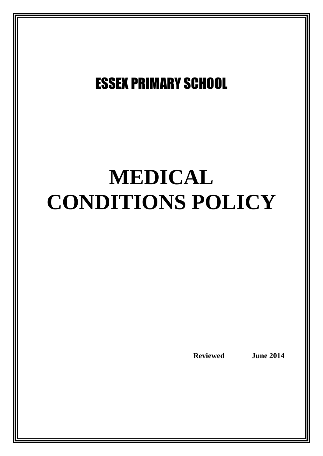# ESSEX PRIMARY SCHOOL

# **MEDICAL CONDITIONS POLICY**

**Reviewed June 2014**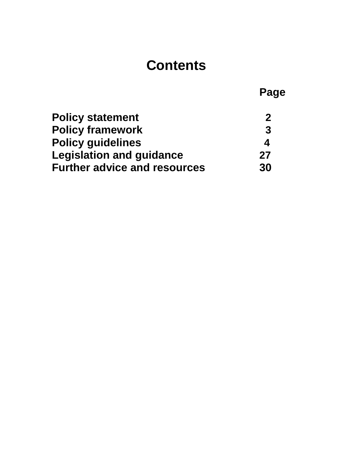# **Contents**

|                                     | Page        |
|-------------------------------------|-------------|
| <b>Policy statement</b>             | $\mathbf 2$ |
| <b>Policy framework</b>             | 3           |
| <b>Policy guidelines</b>            | 4           |
| <b>Legislation and guidance</b>     | 27          |
| <b>Further advice and resources</b> | 30          |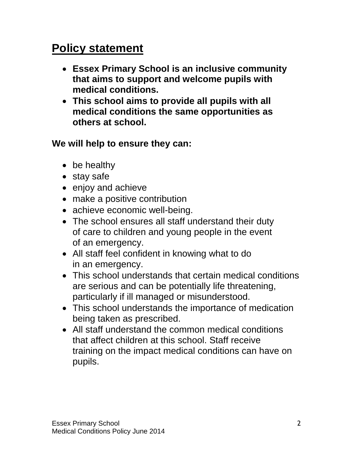# **Policy statement**

- **Essex Primary School is an inclusive community that aims to support and welcome pupils with medical conditions.**
- **This school aims to provide all pupils with all medical conditions the same opportunities as others at school.**

**We will help to ensure they can:**

- be healthy
- stay safe
- enjoy and achieve
- make a positive contribution
- achieve economic well-being.
- The school ensures all staff understand their duty of care to children and young people in the event of an emergency.
- All staff feel confident in knowing what to do in an emergency.
- This school understands that certain medical conditions are serious and can be potentially life threatening, particularly if ill managed or misunderstood.
- This school understands the importance of medication being taken as prescribed.
- All staff understand the common medical conditions that affect children at this school. Staff receive training on the impact medical conditions can have on pupils.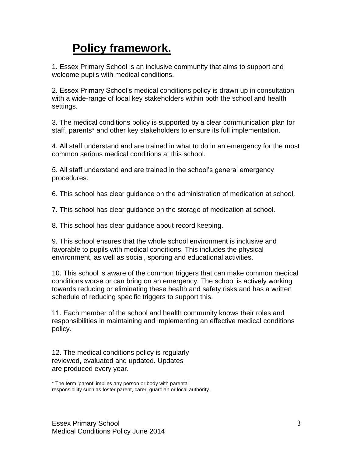# **Policy framework.**

1. Essex Primary School is an inclusive community that aims to support and welcome pupils with medical conditions.

2. Essex Primary School's medical conditions policy is drawn up in consultation with a wide-range of local key stakeholders within both the school and health settings.

3. The medical conditions policy is supported by a clear communication plan for staff, parents\* and other key stakeholders to ensure its full implementation.

4. All staff understand and are trained in what to do in an emergency for the most common serious medical conditions at this school.

5. All staff understand and are trained in the school's general emergency procedures.

6. This school has clear guidance on the administration of medication at school.

7. This school has clear guidance on the storage of medication at school.

8. This school has clear guidance about record keeping.

9. This school ensures that the whole school environment is inclusive and favorable to pupils with medical conditions. This includes the physical environment, as well as social, sporting and educational activities.

10. This school is aware of the common triggers that can make common medical conditions worse or can bring on an emergency. The school is actively working towards reducing or eliminating these health and safety risks and has a written schedule of reducing specific triggers to support this.

11. Each member of the school and health community knows their roles and responsibilities in maintaining and implementing an effective medical conditions policy.

12. The medical conditions policy is regularly reviewed, evaluated and updated. Updates are produced every year.

\* The term 'parent' implies any person or body with parental responsibility such as foster parent, carer, guardian or local authority.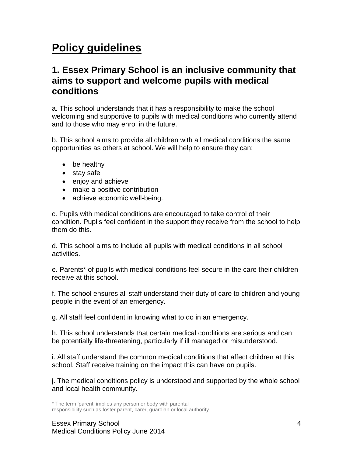# **Policy guidelines**

# **1. Essex Primary School is an inclusive community that aims to support and welcome pupils with medical conditions**

a. This school understands that it has a responsibility to make the school welcoming and supportive to pupils with medical conditions who currently attend and to those who may enrol in the future.

b. This school aims to provide all children with all medical conditions the same opportunities as others at school. We will help to ensure they can:

- be healthy
- stay safe
- enjoy and achieve
- make a positive contribution
- achieve economic well-being.

c. Pupils with medical conditions are encouraged to take control of their condition. Pupils feel confident in the support they receive from the school to help them do this.

d. This school aims to include all pupils with medical conditions in all school activities.

e. Parents\* of pupils with medical conditions feel secure in the care their children receive at this school.

f. The school ensures all staff understand their duty of care to children and young people in the event of an emergency.

g. All staff feel confident in knowing what to do in an emergency.

h. This school understands that certain medical conditions are serious and can be potentially life-threatening, particularly if ill managed or misunderstood.

i. All staff understand the common medical conditions that affect children at this school. Staff receive training on the impact this can have on pupils.

j. The medical conditions policy is understood and supported by the whole school and local health community.

\* The term 'parent' implies any person or body with parental responsibility such as foster parent, carer, guardian or local authority.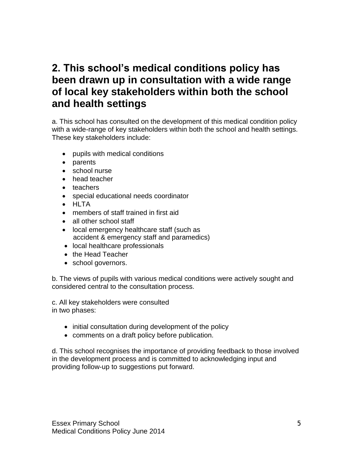# **2. This school's medical conditions policy has been drawn up in consultation with a wide range of local key stakeholders within both the school and health settings**

a. This school has consulted on the development of this medical condition policy with a wide-range of key stakeholders within both the school and health settings. These key stakeholders include:

- pupils with medical conditions
- parents
- school nurse
- head teacher
- teachers
- special educational needs coordinator
- HLTA
- members of staff trained in first aid
- all other school staff
- local emergency healthcare staff (such as accident & emergency staff and paramedics)
- local healthcare professionals
- the Head Teacher
- school governors.

b. The views of pupils with various medical conditions were actively sought and considered central to the consultation process.

c. All key stakeholders were consulted in two phases:

- initial consultation during development of the policy
- comments on a draft policy before publication.

d. This school recognises the importance of providing feedback to those involved in the development process and is committed to acknowledging input and providing follow-up to suggestions put forward.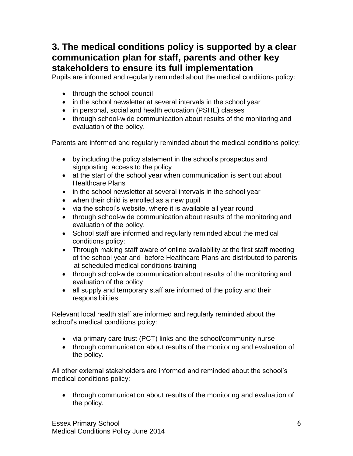# **3. The medical conditions policy is supported by a clear communication plan for staff, parents and other key stakeholders to ensure its full implementation**

Pupils are informed and regularly reminded about the medical conditions policy:

- through the school council
- in the school newsletter at several intervals in the school year
- in personal, social and health education (PSHE) classes
- through school-wide communication about results of the monitoring and evaluation of the policy.

Parents are informed and regularly reminded about the medical conditions policy:

- by including the policy statement in the school's prospectus and signposting access to the policy
- at the start of the school year when communication is sent out about Healthcare Plans
- in the school newsletter at several intervals in the school year
- when their child is enrolled as a new pupil
- via the school's website, where it is available all year round
- through school-wide communication about results of the monitoring and evaluation of the policy.
- School staff are informed and regularly reminded about the medical conditions policy:
- Through making staff aware of online availability at the first staff meeting of the school year and before Healthcare Plans are distributed to parents at scheduled medical conditions training
- through school-wide communication about results of the monitoring and evaluation of the policy
- all supply and temporary staff are informed of the policy and their responsibilities.

Relevant local health staff are informed and regularly reminded about the school's medical conditions policy:

- via primary care trust (PCT) links and the school/community nurse
- through communication about results of the monitoring and evaluation of the policy.

All other external stakeholders are informed and reminded about the school's medical conditions policy:

 through communication about results of the monitoring and evaluation of the policy.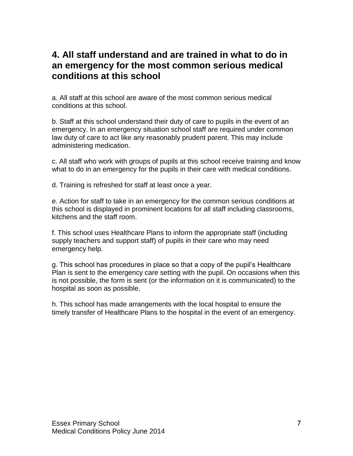# **4. All staff understand and are trained in what to do in an emergency for the most common serious medical conditions at this school**

a. All staff at this school are aware of the most common serious medical conditions at this school.

b. Staff at this school understand their duty of care to pupils in the event of an emergency. In an emergency situation school staff are required under common law duty of care to act like any reasonably prudent parent. This may include administering medication.

c. All staff who work with groups of pupils at this school receive training and know what to do in an emergency for the pupils in their care with medical conditions.

d. Training is refreshed for staff at least once a year.

e. Action for staff to take in an emergency for the common serious conditions at this school is displayed in prominent locations for all staff including classrooms, kitchens and the staff room.

f. This school uses Healthcare Plans to inform the appropriate staff (including supply teachers and support staff) of pupils in their care who may need emergency help.

g. This school has procedures in place so that a copy of the pupil's Healthcare Plan is sent to the emergency care setting with the pupil. On occasions when this is not possible, the form is sent (or the information on it is communicated) to the hospital as soon as possible.

h. This school has made arrangements with the local hospital to ensure the timely transfer of Healthcare Plans to the hospital in the event of an emergency.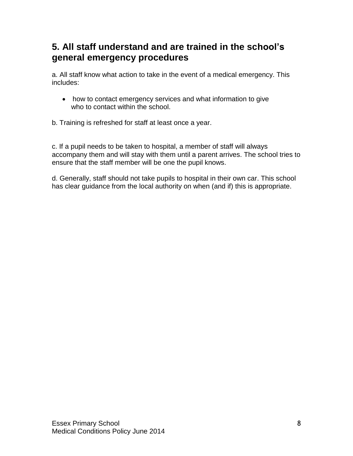# **5. All staff understand and are trained in the school's general emergency procedures**

a. All staff know what action to take in the event of a medical emergency. This includes:

 how to contact emergency services and what information to give who to contact within the school.

b. Training is refreshed for staff at least once a year.

c. If a pupil needs to be taken to hospital, a member of staff will always accompany them and will stay with them until a parent arrives. The school tries to ensure that the staff member will be one the pupil knows.

d. Generally, staff should not take pupils to hospital in their own car. This school has clear guidance from the local authority on when (and if) this is appropriate.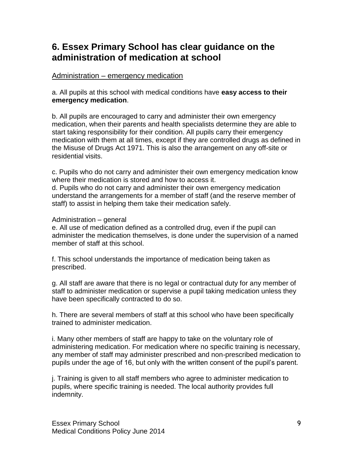# **6. Essex Primary School has clear guidance on the administration of medication at school**

# Administration – emergency medication

#### a. All pupils at this school with medical conditions have **easy access to their emergency medication**.

b. All pupils are encouraged to carry and administer their own emergency medication, when their parents and health specialists determine they are able to start taking responsibility for their condition. All pupils carry their emergency medication with them at all times, except if they are controlled drugs as defined in the Misuse of Drugs Act 1971. This is also the arrangement on any off-site or residential visits.

c. Pupils who do not carry and administer their own emergency medication know where their medication is stored and how to access it.

d. Pupils who do not carry and administer their own emergency medication understand the arrangements for a member of staff (and the reserve member of staff) to assist in helping them take their medication safely.

#### Administration – general

e. All use of medication defined as a controlled drug, even if the pupil can administer the medication themselves, is done under the supervision of a named member of staff at this school.

f. This school understands the importance of medication being taken as prescribed.

g. All staff are aware that there is no legal or contractual duty for any member of staff to administer medication or supervise a pupil taking medication unless they have been specifically contracted to do so.

h. There are several members of staff at this school who have been specifically trained to administer medication.

i. Many other members of staff are happy to take on the voluntary role of administering medication. For medication where no specific training is necessary, any member of staff may administer prescribed and non-prescribed medication to pupils under the age of 16, but only with the written consent of the pupil's parent.

j. Training is given to all staff members who agree to administer medication to pupils, where specific training is needed. The local authority provides full indemnity.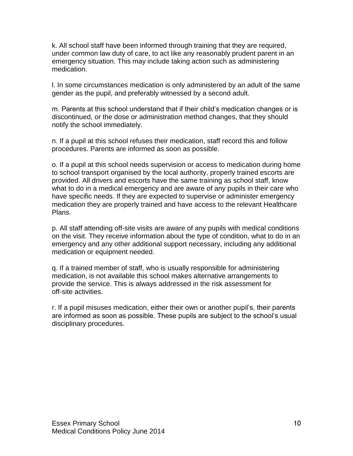k. All school staff have been informed through training that they are required, under common law duty of care, to act like any reasonably prudent parent in an emergency situation. This may include taking action such as administering medication.

l. In some circumstances medication is only administered by an adult of the same gender as the pupil, and preferably witnessed by a second adult.

m. Parents at this school understand that if their child's medication changes or is discontinued, or the dose or administration method changes, that they should notify the school immediately.

n. If a pupil at this school refuses their medication, staff record this and follow procedures. Parents are informed as soon as possible.

o. If a pupil at this school needs supervision or access to medication during home to school transport organised by the local authority, properly trained escorts are provided. All drivers and escorts have the same training as school staff, know what to do in a medical emergency and are aware of any pupils in their care who have specific needs. If they are expected to supervise or administer emergency medication they are properly trained and have access to the relevant Healthcare Plans.

p. All staff attending off-site visits are aware of any pupils with medical conditions on the visit. They receive information about the type of condition, what to do in an emergency and any other additional support necessary, including any additional medication or equipment needed.

q. If a trained member of staff, who is usually responsible for administering medication, is not available this school makes alternative arrangements to provide the service. This is always addressed in the risk assessment for off-site activities.

r. If a pupil misuses medication, either their own or another pupil's, their parents are informed as soon as possible. These pupils are subject to the school's usual disciplinary procedures.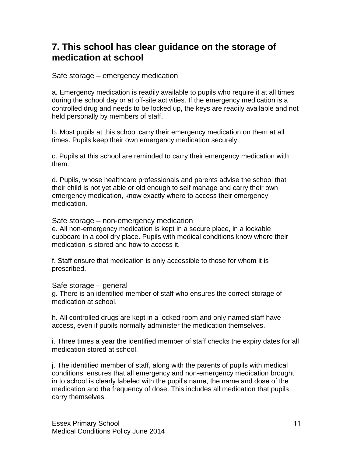# **7. This school has clear guidance on the storage of medication at school**

Safe storage – emergency medication

a. Emergency medication is readily available to pupils who require it at all times during the school day or at off-site activities. If the emergency medication is a controlled drug and needs to be locked up, the keys are readily available and not held personally by members of staff.

b. Most pupils at this school carry their emergency medication on them at all times. Pupils keep their own emergency medication securely.

c. Pupils at this school are reminded to carry their emergency medication with them.

d. Pupils, whose healthcare professionals and parents advise the school that their child is not yet able or old enough to self manage and carry their own emergency medication, know exactly where to access their emergency medication.

Safe storage – non-emergency medication

e. All non-emergency medication is kept in a secure place, in a lockable cupboard in a cool dry place. Pupils with medical conditions know where their medication is stored and how to access it.

f. Staff ensure that medication is only accessible to those for whom it is prescribed.

Safe storage – general

g. There is an identified member of staff who ensures the correct storage of medication at school.

h. All controlled drugs are kept in a locked room and only named staff have access, even if pupils normally administer the medication themselves.

i. Three times a year the identified member of staff checks the expiry dates for all medication stored at school.

j. The identified member of staff, along with the parents of pupils with medical conditions, ensures that all emergency and non-emergency medication brought in to school is clearly labeled with the pupil's name, the name and dose of the medication and the frequency of dose. This includes all medication that pupils carry themselves.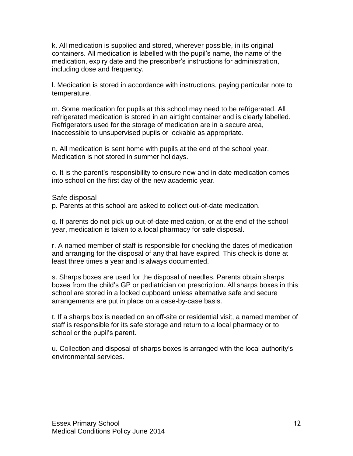k. All medication is supplied and stored, wherever possible, in its original containers. All medication is labelled with the pupil's name, the name of the medication, expiry date and the prescriber's instructions for administration, including dose and frequency.

l. Medication is stored in accordance with instructions, paying particular note to temperature.

m. Some medication for pupils at this school may need to be refrigerated. All refrigerated medication is stored in an airtight container and is clearly labelled. Refrigerators used for the storage of medication are in a secure area, inaccessible to unsupervised pupils or lockable as appropriate.

n. All medication is sent home with pupils at the end of the school year. Medication is not stored in summer holidays.

o. It is the parent's responsibility to ensure new and in date medication comes into school on the first day of the new academic year.

#### Safe disposal

p. Parents at this school are asked to collect out-of-date medication.

q. If parents do not pick up out-of-date medication, or at the end of the school year, medication is taken to a local pharmacy for safe disposal.

r. A named member of staff is responsible for checking the dates of medication and arranging for the disposal of any that have expired. This check is done at least three times a year and is always documented.

s. Sharps boxes are used for the disposal of needles. Parents obtain sharps boxes from the child's GP or pediatrician on prescription. All sharps boxes in this school are stored in a locked cupboard unless alternative safe and secure arrangements are put in place on a case-by-case basis.

t. If a sharps box is needed on an off-site or residential visit, a named member of staff is responsible for its safe storage and return to a local pharmacy or to school or the pupil's parent.

u. Collection and disposal of sharps boxes is arranged with the local authority's environmental services.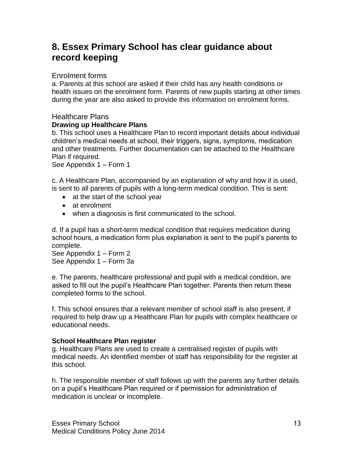# **8. Essex Primary School has clear guidance about record keeping**

#### Enrolment forms

a. Parents at this school are asked if their child has any health conditions or health issues on the enrolment form. Parents of new pupils starting at other times during the year are also asked to provide this information on enrolment forms.

# Healthcare Plans

#### **Drawing up Healthcare Plans**

b. This school uses a Healthcare Plan to record important details about individual children's medical needs at school, their triggers, signs, symptoms, medication and other treatments. Further documentation can be attached to the Healthcare Plan if required.

See Appendix 1 – Form 1

c. A Healthcare Plan, accompanied by an explanation of why and how it is used, is sent to all parents of pupils with a long-term medical condition. This is sent:

- at the start of the school year
- at enrolment
- when a diagnosis is first communicated to the school.

d. If a pupil has a short-term medical condition that requires medication during school hours, a medication form plus explanation is sent to the pupil's parents to complete.

See Appendix 1 – Form 2 See Appendix 1 – Form 3a

e. The parents, healthcare professional and pupil with a medical condition, are asked to fill out the pupil's Healthcare Plan together. Parents then return these completed forms to the school.

f. This school ensures that a relevant member of school staff is also present, if required to help draw up a Healthcare Plan for pupils with complex healthcare or educational needs.

#### **School Healthcare Plan register**

g. Healthcare Plans are used to create a centralised register of pupils with medical needs. An identified member of staff has responsibility for the register at this school.

h. The responsible member of staff follows up with the parents any further details on a pupil's Healthcare Plan required or if permission for administration of medication is unclear or incomplete.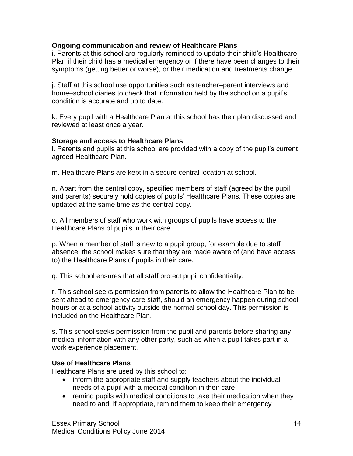#### **Ongoing communication and review of Healthcare Plans**

i. Parents at this school are regularly reminded to update their child's Healthcare Plan if their child has a medical emergency or if there have been changes to their symptoms (getting better or worse), or their medication and treatments change.

j. Staff at this school use opportunities such as teacher–parent interviews and home–school diaries to check that information held by the school on a pupil's condition is accurate and up to date.

k. Every pupil with a Healthcare Plan at this school has their plan discussed and reviewed at least once a year.

#### **Storage and access to Healthcare Plans**

l. Parents and pupils at this school are provided with a copy of the pupil's current agreed Healthcare Plan.

m. Healthcare Plans are kept in a secure central location at school.

n. Apart from the central copy, specified members of staff (agreed by the pupil and parents) securely hold copies of pupils' Healthcare Plans. These copies are updated at the same time as the central copy.

o. All members of staff who work with groups of pupils have access to the Healthcare Plans of pupils in their care.

p. When a member of staff is new to a pupil group, for example due to staff absence, the school makes sure that they are made aware of (and have access to) the Healthcare Plans of pupils in their care.

q. This school ensures that all staff protect pupil confidentiality.

r. This school seeks permission from parents to allow the Healthcare Plan to be sent ahead to emergency care staff, should an emergency happen during school hours or at a school activity outside the normal school day. This permission is included on the Healthcare Plan.

s. This school seeks permission from the pupil and parents before sharing any medical information with any other party, such as when a pupil takes part in a work experience placement.

# **Use of Healthcare Plans**

Healthcare Plans are used by this school to:

- inform the appropriate staff and supply teachers about the individual needs of a pupil with a medical condition in their care
- remind pupils with medical conditions to take their medication when they need to and, if appropriate, remind them to keep their emergency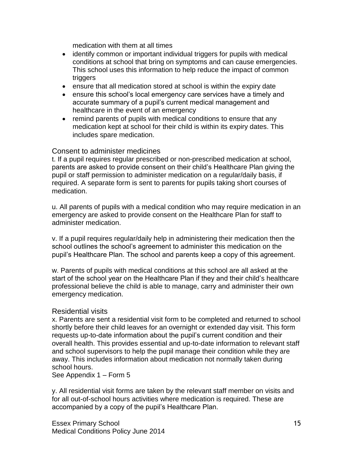medication with them at all times

- identify common or important individual triggers for pupils with medical conditions at school that bring on symptoms and can cause emergencies. This school uses this information to help reduce the impact of common triggers
- ensure that all medication stored at school is within the expiry date
- ensure this school's local emergency care services have a timely and accurate summary of a pupil's current medical management and healthcare in the event of an emergency
- remind parents of pupils with medical conditions to ensure that any medication kept at school for their child is within its expiry dates. This includes spare medication.

#### Consent to administer medicines

t. If a pupil requires regular prescribed or non-prescribed medication at school, parents are asked to provide consent on their child's Healthcare Plan giving the pupil or staff permission to administer medication on a regular/daily basis, if required. A separate form is sent to parents for pupils taking short courses of medication.

u. All parents of pupils with a medical condition who may require medication in an emergency are asked to provide consent on the Healthcare Plan for staff to administer medication.

v. If a pupil requires regular/daily help in administering their medication then the school outlines the school's agreement to administer this medication on the pupil's Healthcare Plan. The school and parents keep a copy of this agreement.

w. Parents of pupils with medical conditions at this school are all asked at the start of the school year on the Healthcare Plan if they and their child's healthcare professional believe the child is able to manage, carry and administer their own emergency medication.

# Residential visits

x. Parents are sent a residential visit form to be completed and returned to school shortly before their child leaves for an overnight or extended day visit. This form requests up-to-date information about the pupil's current condition and their overall health. This provides essential and up-to-date information to relevant staff and school supervisors to help the pupil manage their condition while they are away. This includes information about medication not normally taken during school hours.

See Appendix 1 – Form 5

y. All residential visit forms are taken by the relevant staff member on visits and for all out-of-school hours activities where medication is required. These are accompanied by a copy of the pupil's Healthcare Plan.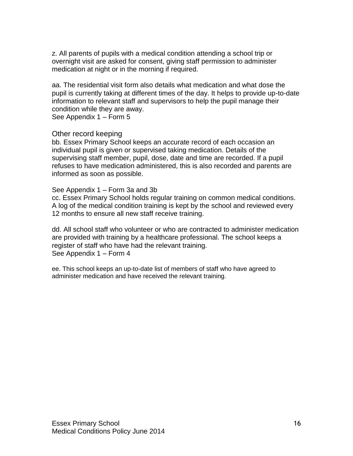z. All parents of pupils with a medical condition attending a school trip or overnight visit are asked for consent, giving staff permission to administer medication at night or in the morning if required.

aa. The residential visit form also details what medication and what dose the pupil is currently taking at different times of the day. It helps to provide up-to-date information to relevant staff and supervisors to help the pupil manage their condition while they are away.

See Appendix 1 – Form 5

#### Other record keeping

bb. Essex Primary School keeps an accurate record of each occasion an individual pupil is given or supervised taking medication. Details of the supervising staff member, pupil, dose, date and time are recorded. If a pupil refuses to have medication administered, this is also recorded and parents are informed as soon as possible.

#### See Appendix 1 – Form 3a and 3b

cc. Essex Primary School holds regular training on common medical conditions. A log of the medical condition training is kept by the school and reviewed every 12 months to ensure all new staff receive training.

dd. All school staff who volunteer or who are contracted to administer medication are provided with training by a healthcare professional. The school keeps a register of staff who have had the relevant training. See Appendix 1 – Form 4

ee. This school keeps an up-to-date list of members of staff who have agreed to administer medication and have received the relevant training.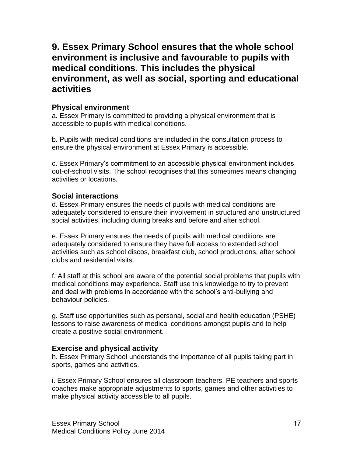# **9. Essex Primary School ensures that the whole school environment is inclusive and favourable to pupils with medical conditions. This includes the physical environment, as well as social, sporting and educational activities**

# **Physical environment**

a. Essex Primary is committed to providing a physical environment that is accessible to pupils with medical conditions.

b. Pupils with medical conditions are included in the consultation process to ensure the physical environment at Essex Primary is accessible.

c. Essex Primary's commitment to an accessible physical environment includes out-of-school visits. The school recognises that this sometimes means changing activities or locations.

# **Social interactions**

d. Essex Primary ensures the needs of pupils with medical conditions are adequately considered to ensure their involvement in structured and unstructured social activities, including during breaks and before and after school.

e. Essex Primary ensures the needs of pupils with medical conditions are adequately considered to ensure they have full access to extended school activities such as school discos, breakfast club, school productions, after school clubs and residential visits.

f. All staff at this school are aware of the potential social problems that pupils with medical conditions may experience. Staff use this knowledge to try to prevent and deal with problems in accordance with the school's anti-bullying and behaviour policies.

g. Staff use opportunities such as personal, social and health education (PSHE) lessons to raise awareness of medical conditions amongst pupils and to help create a positive social environment.

# **Exercise and physical activity**

h. Essex Primary School understands the importance of all pupils taking part in sports, games and activities.

i. Essex Primary School ensures all classroom teachers, PE teachers and sports coaches make appropriate adjustments to sports, games and other activities to make physical activity accessible to all pupils.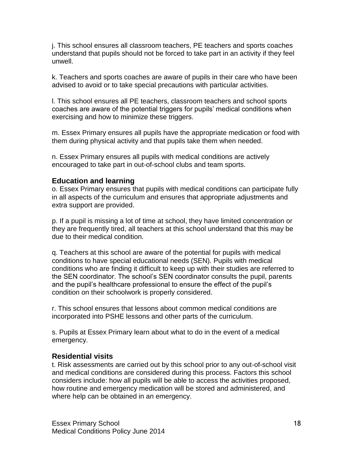j. This school ensures all classroom teachers, PE teachers and sports coaches understand that pupils should not be forced to take part in an activity if they feel unwell.

k. Teachers and sports coaches are aware of pupils in their care who have been advised to avoid or to take special precautions with particular activities.

l. This school ensures all PE teachers, classroom teachers and school sports coaches are aware of the potential triggers for pupils' medical conditions when exercising and how to minimize these triggers.

m. Essex Primary ensures all pupils have the appropriate medication or food with them during physical activity and that pupils take them when needed.

n. Essex Primary ensures all pupils with medical conditions are actively encouraged to take part in out-of-school clubs and team sports.

# **Education and learning**

o. Essex Primary ensures that pupils with medical conditions can participate fully in all aspects of the curriculum and ensures that appropriate adjustments and extra support are provided.

p. If a pupil is missing a lot of time at school, they have limited concentration or they are frequently tired, all teachers at this school understand that this may be due to their medical condition.

q. Teachers at this school are aware of the potential for pupils with medical conditions to have special educational needs (SEN). Pupils with medical conditions who are finding it difficult to keep up with their studies are referred to the SEN coordinator. The school's SEN coordinator consults the pupil, parents and the pupil's healthcare professional to ensure the effect of the pupil's condition on their schoolwork is properly considered.

r. This school ensures that lessons about common medical conditions are incorporated into PSHE lessons and other parts of the curriculum.

s. Pupils at Essex Primary learn about what to do in the event of a medical emergency.

# **Residential visits**

t. Risk assessments are carried out by this school prior to any out-of-school visit and medical conditions are considered during this process. Factors this school considers include: how all pupils will be able to access the activities proposed, how routine and emergency medication will be stored and administered, and where help can be obtained in an emergency.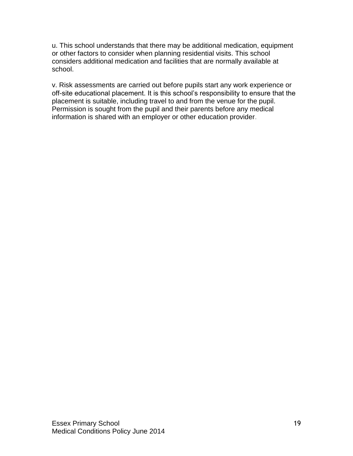u. This school understands that there may be additional medication, equipment or other factors to consider when planning residential visits. This school considers additional medication and facilities that are normally available at school.

v. Risk assessments are carried out before pupils start any work experience or off-site educational placement. It is this school's responsibility to ensure that the placement is suitable, including travel to and from the venue for the pupil. Permission is sought from the pupil and their parents before any medical information is shared with an employer or other education provider.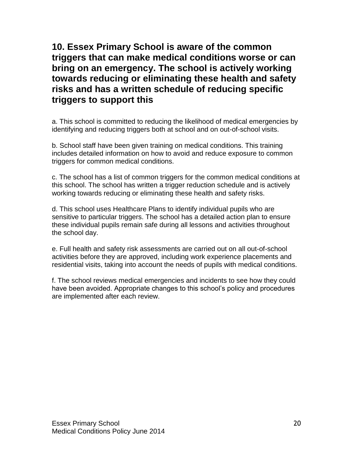**10. Essex Primary School is aware of the common triggers that can make medical conditions worse or can bring on an emergency. The school is actively working towards reducing or eliminating these health and safety risks and has a written schedule of reducing specific triggers to support this**

a. This school is committed to reducing the likelihood of medical emergencies by identifying and reducing triggers both at school and on out-of-school visits.

b. School staff have been given training on medical conditions. This training includes detailed information on how to avoid and reduce exposure to common triggers for common medical conditions.

c. The school has a list of common triggers for the common medical conditions at this school. The school has written a trigger reduction schedule and is actively working towards reducing or eliminating these health and safety risks.

d. This school uses Healthcare Plans to identify individual pupils who are sensitive to particular triggers. The school has a detailed action plan to ensure these individual pupils remain safe during all lessons and activities throughout the school day.

e. Full health and safety risk assessments are carried out on all out-of-school activities before they are approved, including work experience placements and residential visits, taking into account the needs of pupils with medical conditions.

f. The school reviews medical emergencies and incidents to see how they could have been avoided. Appropriate changes to this school's policy and procedures are implemented after each review.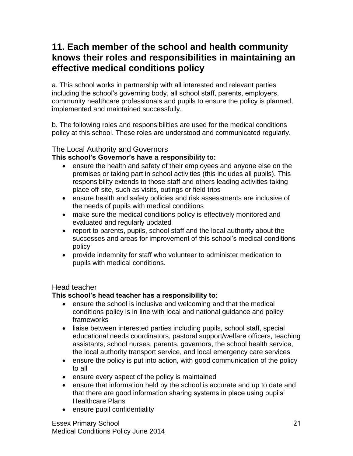# **11. Each member of the school and health community knows their roles and responsibilities in maintaining an effective medical conditions policy**

a. This school works in partnership with all interested and relevant parties including the school's governing body, all school staff, parents, employers, community healthcare professionals and pupils to ensure the policy is planned, implemented and maintained successfully.

b. The following roles and responsibilities are used for the medical conditions policy at this school. These roles are understood and communicated regularly.

# The Local Authority and Governors

# **This school's Governor's have a responsibility to:**

- ensure the health and safety of their employees and anyone else on the premises or taking part in school activities (this includes all pupils). This responsibility extends to those staff and others leading activities taking place off-site, such as visits, outings or field trips
- ensure health and safety policies and risk assessments are inclusive of the needs of pupils with medical conditions
- make sure the medical conditions policy is effectively monitored and evaluated and regularly updated
- report to parents, pupils, school staff and the local authority about the successes and areas for improvement of this school's medical conditions policy
- provide indemnity for staff who volunteer to administer medication to pupils with medical conditions.

# Head teacher

# **This school's head teacher has a responsibility to:**

- ensure the school is inclusive and welcoming and that the medical conditions policy is in line with local and national guidance and policy frameworks
- liaise between interested parties including pupils, school staff, special educational needs coordinators, pastoral support/welfare officers, teaching assistants, school nurses, parents, governors, the school health service, the local authority transport service, and local emergency care services
- ensure the policy is put into action, with good communication of the policy to all
- ensure every aspect of the policy is maintained
- ensure that information held by the school is accurate and up to date and that there are good information sharing systems in place using pupils' Healthcare Plans
- ensure pupil confidentiality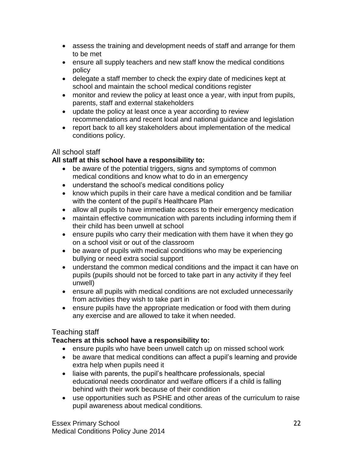- assess the training and development needs of staff and arrange for them to be met
- ensure all supply teachers and new staff know the medical conditions policy
- delegate a staff member to check the expiry date of medicines kept at school and maintain the school medical conditions register
- monitor and review the policy at least once a year, with input from pupils, parents, staff and external stakeholders
- update the policy at least once a year according to review recommendations and recent local and national guidance and legislation
- report back to all key stakeholders about implementation of the medical conditions policy.

# All school staff

# **All staff at this school have a responsibility to:**

- be aware of the potential triggers, signs and symptoms of common medical conditions and know what to do in an emergency
- understand the school's medical conditions policy
- know which pupils in their care have a medical condition and be familiar with the content of the pupil's Healthcare Plan
- allow all pupils to have immediate access to their emergency medication
- maintain effective communication with parents including informing them if their child has been unwell at school
- ensure pupils who carry their medication with them have it when they go on a school visit or out of the classroom
- be aware of pupils with medical conditions who may be experiencing bullying or need extra social support
- understand the common medical conditions and the impact it can have on pupils (pupils should not be forced to take part in any activity if they feel unwell)
- ensure all pupils with medical conditions are not excluded unnecessarily from activities they wish to take part in
- ensure pupils have the appropriate medication or food with them during any exercise and are allowed to take it when needed.

# Teaching staff

# **Teachers at this school have a responsibility to:**

- ensure pupils who have been unwell catch up on missed school work
- be aware that medical conditions can affect a pupil's learning and provide extra help when pupils need it
- liaise with parents, the pupil's healthcare professionals, special educational needs coordinator and welfare officers if a child is falling behind with their work because of their condition
- use opportunities such as PSHE and other areas of the curriculum to raise pupil awareness about medical conditions.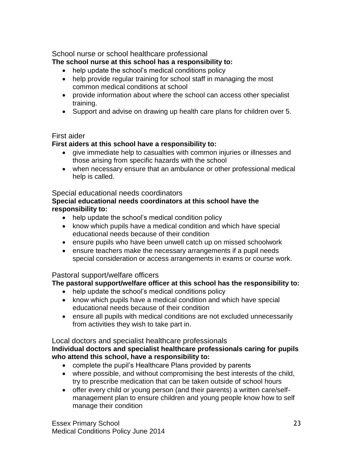School nurse or school healthcare professional

# **The school nurse at this school has a responsibility to:**

- help update the school's medical conditions policy
- help provide regular training for school staff in managing the most common medical conditions at school
- provide information about where the school can access other specialist training.
- Support and advise on drawing up health care plans for children over 5.

# First aider

# **First aiders at this school have a responsibility to:**

- give immediate help to casualties with common injuries or illnesses and those arising from specific hazards with the school
- when necessary ensure that an ambulance or other professional medical help is called.

# Special educational needs coordinators

# **Special educational needs coordinators at this school have the responsibility to:**

- help update the school's medical condition policy
- know which pupils have a medical condition and which have special educational needs because of their condition
- ensure pupils who have been unwell catch up on missed schoolwork
- ensure teachers make the necessary arrangements if a pupil needs special consideration or access arrangements in exams or course work.

# Pastoral support/welfare officers

# **The pastoral support/welfare officer at this school has the responsibility to:**

- help update the school's medical conditions policy
- know which pupils have a medical condition and which have special educational needs because of their condition
- ensure all pupils with medical conditions are not excluded unnecessarily from activities they wish to take part in.

# Local doctors and specialist healthcare professionals

# **Individual doctors and specialist healthcare professionals caring for pupils who attend this school, have a responsibility to:**

- complete the pupil's Healthcare Plans provided by parents
- where possible, and without compromising the best interests of the child, try to prescribe medication that can be taken outside of school hours
- offer every child or young person (and their parents) a written care/selfmanagement plan to ensure children and young people know how to self manage their condition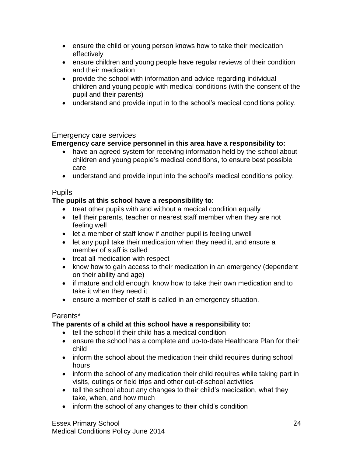- ensure the child or young person knows how to take their medication effectively
- ensure children and young people have regular reviews of their condition and their medication
- provide the school with information and advice regarding individual children and young people with medical conditions (with the consent of the pupil and their parents)
- understand and provide input in to the school's medical conditions policy.

# Emergency care services

# **Emergency care service personnel in this area have a responsibility to:**

- have an agreed system for receiving information held by the school about children and young people's medical conditions, to ensure best possible care
- understand and provide input into the school's medical conditions policy.

# **Pupils**

# **The pupils at this school have a responsibility to:**

- treat other pupils with and without a medical condition equally
- tell their parents, teacher or nearest staff member when they are not feeling well
- let a member of staff know if another pupil is feeling unwell
- let any pupil take their medication when they need it, and ensure a member of staff is called
- treat all medication with respect
- know how to gain access to their medication in an emergency (dependent on their ability and age)
- if mature and old enough, know how to take their own medication and to take it when they need it
- ensure a member of staff is called in an emergency situation.

# Parents\*

# **The parents of a child at this school have a responsibility to:**

- tell the school if their child has a medical condition
- ensure the school has a complete and up-to-date Healthcare Plan for their child
- inform the school about the medication their child requires during school hours
- inform the school of any medication their child requires while taking part in visits, outings or field trips and other out-of-school activities
- tell the school about any changes to their child's medication, what they take, when, and how much
- inform the school of any changes to their child's condition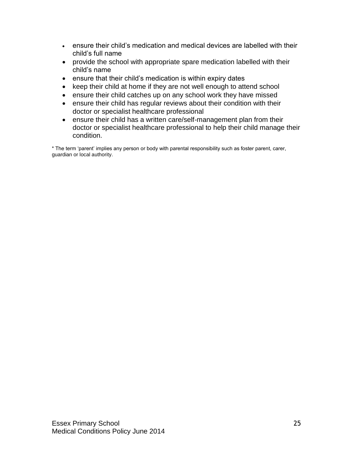- ensure their child's medication and medical devices are labelled with their child's full name
- provide the school with appropriate spare medication labelled with their child's name
- ensure that their child's medication is within expiry dates
- keep their child at home if they are not well enough to attend school
- ensure their child catches up on any school work they have missed
- ensure their child has regular reviews about their condition with their doctor or specialist healthcare professional
- ensure their child has a written care/self-management plan from their doctor or specialist healthcare professional to help their child manage their condition.

\* The term 'parent' implies any person or body with parental responsibility such as foster parent, carer, guardian or local authority.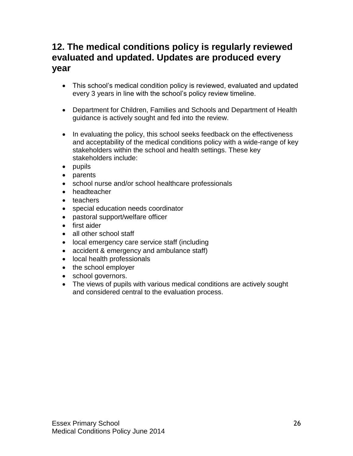# **12. The medical conditions policy is regularly reviewed evaluated and updated. Updates are produced every year**

- This school's medical condition policy is reviewed, evaluated and updated every 3 years in line with the school's policy review timeline.
- Department for Children, Families and Schools and Department of Health guidance is actively sought and fed into the review.
- In evaluating the policy, this school seeks feedback on the effectiveness and acceptability of the medical conditions policy with a wide-range of key stakeholders within the school and health settings. These key stakeholders include:
- pupils
- parents
- school nurse and/or school healthcare professionals
- headteacher
- teachers
- special education needs coordinator
- pastoral support/welfare officer
- first aider
- all other school staff
- local emergency care service staff (including
- accident & emergency and ambulance staff)
- local health professionals
- the school employer
- school governors.
- The views of pupils with various medical conditions are actively sought and considered central to the evaluation process.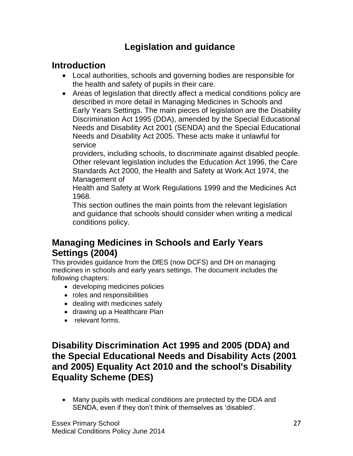# **Legislation and guidance**

# **Introduction**

- Local authorities, schools and governing bodies are responsible for the health and safety of pupils in their care.
- Areas of legislation that directly affect a medical conditions policy are described in more detail in Managing Medicines in Schools and Early Years Settings. The main pieces of legislation are the Disability Discrimination Act 1995 (DDA), amended by the Special Educational Needs and Disability Act 2001 (SENDA) and the Special Educational Needs and Disability Act 2005. These acts make it unlawful for service

providers, including schools, to discriminate against disabled people. Other relevant legislation includes the Education Act 1996, the Care Standards Act 2000, the Health and Safety at Work Act 1974, the Management of

Health and Safety at Work Regulations 1999 and the Medicines Act 1968.

This section outlines the main points from the relevant legislation and guidance that schools should consider when writing a medical conditions policy.

# **Managing Medicines in Schools and Early Years Settings (2004)**

This provides guidance from the DfES (now DCFS) and DH on managing medicines in schools and early years settings. The document includes the following chapters:

- developing medicines policies
- roles and responsibilities
- dealing with medicines safely
- drawing up a Healthcare Plan
- relevant forms.

# **Disability Discrimination Act 1995 and 2005 (DDA) and the Special Educational Needs and Disability Acts (2001 and 2005) Equality Act 2010 and the school's Disability Equality Scheme (DES)**

 Many pupils with medical conditions are protected by the DDA and SENDA, even if they don't think of themselves as 'disabled'.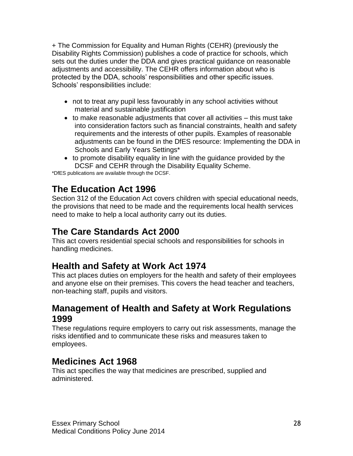+ The Commission for Equality and Human Rights (CEHR) (previously the Disability Rights Commission) publishes a code of practice for schools, which sets out the duties under the DDA and gives practical guidance on reasonable adjustments and accessibility. The CEHR offers information about who is protected by the DDA, schools' responsibilities and other specific issues. Schools' responsibilities include:

- not to treat any pupil less favourably in any school activities without material and sustainable justification
- $\bullet$  to make reasonable adjustments that cover all activities  $-$  this must take into consideration factors such as financial constraints, health and safety requirements and the interests of other pupils. Examples of reasonable adjustments can be found in the DfES resource: Implementing the DDA in Schools and Early Years Settings\*
- to promote disability equality in line with the guidance provided by the DCSF and CEHR through the Disability Equality Scheme.

\*DfES publications are available through the DCSF.

# **The Education Act 1996**

Section 312 of the Education Act covers children with special educational needs, the provisions that need to be made and the requirements local health services need to make to help a local authority carry out its duties.

# **The Care Standards Act 2000**

This act covers residential special schools and responsibilities for schools in handling medicines.

# **Health and Safety at Work Act 1974**

This act places duties on employers for the health and safety of their employees and anyone else on their premises. This covers the head teacher and teachers, non-teaching staff, pupils and visitors.

# **Management of Health and Safety at Work Regulations 1999**

These regulations require employers to carry out risk assessments, manage the risks identified and to communicate these risks and measures taken to employees.

# **Medicines Act 1968**

This act specifies the way that medicines are prescribed, supplied and administered.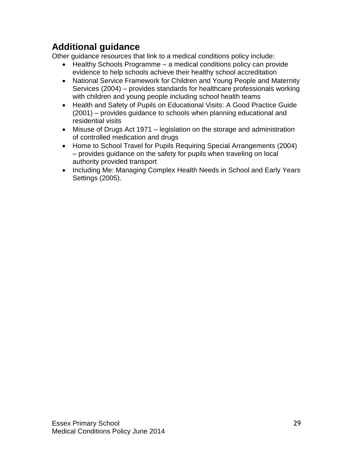# **Additional guidance**

Other guidance resources that link to a medical conditions policy include:

- Healthy Schools Programme a medical conditions policy can provide evidence to help schools achieve their healthy school accreditation
- National Service Framework for Children and Young People and Maternity Services (2004) – provides standards for healthcare professionals working with children and young people including school health teams
- Health and Safety of Pupils on Educational Visits: A Good Practice Guide (2001) – provides guidance to schools when planning educational and residential visits
- Misuse of Drugs Act 1971 legislation on the storage and administration of controlled medication and drugs
- Home to School Travel for Pupils Requiring Special Arrangements (2004) – provides guidance on the safety for pupils when traveling on local authority provided transport
- Including Me: Managing Complex Health Needs in School and Early Years Settings (2005).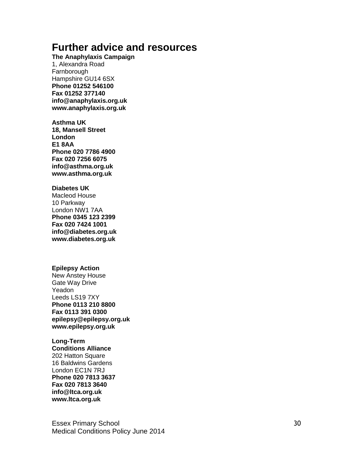# **Further advice and resources**

**The Anaphylaxis Campaign**

1, Alexandra Road Farnborough Hampshire GU14 6SX **Phone 01252 546100 Fax 01252 377140 info@anaphylaxis.org.uk www.anaphylaxis.org.uk**

**Asthma UK 18, Mansell Street London E1 8AA Phone 020 7786 4900 Fax 020 7256 6075 info@asthma.org.uk www.asthma.org.uk**

#### **Diabetes UK**

Macleod House 10 Parkway London NW1 7AA **Phone 0345 123 2399 Fax 020 7424 1001 info@diabetes.org.uk www.diabetes.org.uk**

#### **Epilepsy Action**

New Anstey House Gate Way Drive Yeadon Leeds LS19 7XY **Phone 0113 210 8800 Fax 0113 391 0300 epilepsy@epilepsy.org.uk www.epilepsy.org.uk**

#### **Long -Term**

**Conditions Alliance** 202 Hatton Square 16 Baldwins Gardens London EC1N 7RJ **Phone 020 7813 3637 Fax 020 7813 3640 info@ltca.org.uk www.ltca.org.uk**